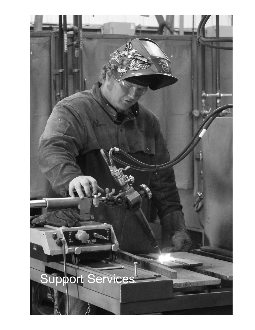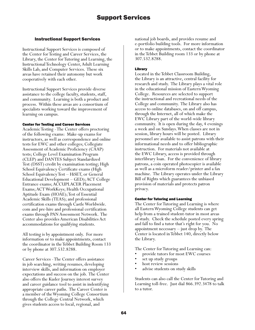# Instructional Support Services

Instructional Support Services is composed of the Center for Testing and Career Services, the Library, the Center for Tutoring and Learning, the Instructional Technology Center, Adult Learning Skills Lab, and Computer Services. These six areas have retained their autonomy but work cooperatively with each other.

Instructional Support Services provide diverse assistance to the college faculty, students, staff, and community. Learning is both a product and process. Within these areas are a consortium of specialists working toward the improvement of learning on campus.

## Center for Testing and Career Services

Academic Testing - The Center offers proctoring of the following exams: Make-up exams for instructors, as well as correspondence and online tests for EWC and other colleges; Collegiate Assessment of Academic Proficiency (CAAP) tests; College Level Examination Program (CLEP) and DANTES Subject Standardized Test (DSST) credit by examination testing; High School Equivalency Certificate exams (High School Equivalency Test – HiSET, or General Educational Development – GED); ACT College Entrance exams; ACCUPLACER Placement Exams; ACT WorkKeys; Health Occupational Aptitude Exam (HOAE); Test of Essential Academic Skills (TEAS); and professional certification exams through Castle Worldwide. com and pre-hire and professional certification exams through PAN Assessment Network. The Center also provides American Disabilities Act accommodations for qualifying students.

All testing is by appointment only. For more information or to make appointments, contact the coordinator in the Tebbet Building Room 133 or by phone at 307.532.8288.

Career Services - The Center offers assistance in job searching, writing resumes, developing interview skills, and information on employer expectations and success on the job. The Center also offers the Kuder Journey interest survey and career guidance tool to assist in indentifying appropriate career paths. The Career Center is a member of the Wyoming College Consortium through the College Central Network, which gives students access to local, regional, and

national job boards, and provides resume and e-portfolio building tools. For more information or to make appointments, contact the coordinator in the Tebbet Building room 133 or by phone at 307.532.8288.

# Library

Located in the Tebbet Classroom Building, the Library is an attractive, central facility for research and study. The Library plays a vital role in the educational mission of Eastern Wyoming College. Resources are selected to support the instructional and recreational needs of the College and community. The Library also has access to online databases, on and off campus, through the Internet, all of which make the EWC Library part of the world-wide library community. It is open during the day, 4 evenings a week and on Sundays. When classes are not in session, library hours will be posted. Library personnel are available to assist patrons with their informational needs and to offer bibliographic instruction. For materials not available at the EWC Library, access is provided through interlibrary loan. For the convenience of library patrons, a coin operated photocopier is available as well as a microform reader/printer and a fax machine. The Library operates under the Library Bill of Rights which guarantees the unbiased provision of materials and protects patron privacy.

# Center for Tutoring and Learning

The Center for Tutoring and Learning is where all Eastern Wyoming College students can get help from a trained student-tutor in most areas of study. Check the schedule posted every spring and fall to find a tutor that's right for you. No appointment necessary – just drop by. The Center is located in Tebbet 140, directly below the Library.

The Center for Tutoring and Learning can:

- provide tutors for most EWC courses
- set up study groups
- host review sessions
- advise students on study skills

Students can also call the Center for Tutoring and Learning toll-free. Just dial 866.392.3478 to talk to a tutor.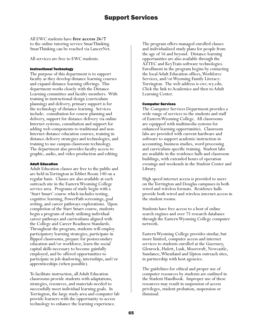All EWC students have **free access 24/7** to the online tutoring service SmarThinking. SmarThinking can be reached via LancerNet.

All services are free to EWC students.

## Instructional Technology

The purpose of this department is to support faculty as they develop distance learning courses and expand distance learning offerings. This department works closely with the Distance Learning committee and faculty members. With training in instructional design (curriculum planning) and delivery, primary support is for the technology of distance learning. Services include: consultation for course planning and delivery, support for distance delivery via online Internet systems, consultation and support for adding web components to traditional and non-Internet distance education courses, training in distance delivery strategies and technologies, and training to use campus classroom technology. The department also provides faculty access to graphic, audio, and video production and editing.

## Adult Education

Adult Education classes are free to the public and are held in Torrington in Tebbet Room 140 on a regular basis. Classes are also available at each outreach site in the Eastern Wyoming College service area. Programs of study begin with a 'Start Smart' course which includes testing, cognitive learning, PowerPath screenings, goal setting, and career pathways explorations. Upon completion of the Start Smart course, students begin a program of study utilizing individual career pathways and curriculums aligned with the College and Career Readiness Standards. Throughout the program, students will employ participatory learning strategies, participate in flipped classrooms, prepare for postsecondary education and/or workforce, learn the social capital skills necessary to become gainfully employed, and be offered opportunities to participate in job shadowing, internships, and/or apprenticeships (when possible).

To facilitate instruction, all Adult Education classrooms provide students with adaptations, strategies, resources, and materials needed to successfully meet individual learning goals. In Torrington, the large study area and computer lab provide learners with the opportunity to access technology to enhance the learning experience.

The program offers managed enrolled classes and individualized study plans for people from the age of 16 and beyond. Distance learning opportunities are also available through the AZTEC and KeyTrain software technologies. Enrollment in the program begins by contacting the local Adult Education offices, Workforce Services, and/or Wyoming Family Literacy: Torrington. The web address is ewc.wy.edu. Click the link to Academics and then to Adult Learning Center.

## Computer Services

The Computer Services Department provides a wide range of services to the students and staff of Eastern Wyoming College. All classrooms are equipped with multimedia systems for enhanced learning opportunities. Classroom labs are provided with current hardware and software to support academic instruction in accounting, business studies, word processing and curriculum-specific training. Student labs are available in the residence halls and classroom buildings, with extended hours of operation evenings and weekends in the Student Center and Library.

High speed internet access is provided to users on the Torrington and Douglas campuses in both wired and wireless formats. Residence halls provide both wired and wireless internet access in the student rooms.

Students have free access to a host of online search engines and over 75 research databases through the Eastern Wyoming College computer network.

Eastern Wyoming College provides similar, but more limited, computer access and internet services to students enrolled at the Guernsey, Glenrock, Hulett, Lusk, Moorcroft, Newcastle, Sundance, Wheatland and Upton outreach sites, in partnership with host agencies.

The guidelines for ethical and proper use of computer resources by students are outlined in the Student Handbook. Improper use of these resources may result in suspension of access privileges, student probation, suspension or dismissal.